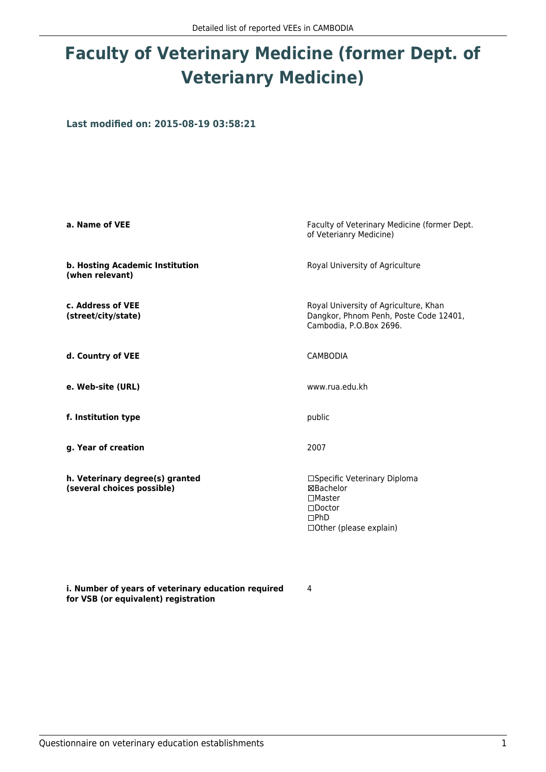## **Faculty of Veterinary Medicine (former Dept. of Veterianry Medicine)**

**Last modified on: 2015-08-19 03:58:21**

| a. Name of VEE                                                | Faculty of Veterinary Medicine (former Dept.<br>of Veterianry Medicine)                                                       |  |
|---------------------------------------------------------------|-------------------------------------------------------------------------------------------------------------------------------|--|
| b. Hosting Academic Institution<br>(when relevant)            | Royal University of Agriculture                                                                                               |  |
| c. Address of VEE<br>(street/city/state)                      | Royal University of Agriculture, Khan<br>Dangkor, Phnom Penh, Poste Code 12401,<br>Cambodia, P.O.Box 2696.                    |  |
| d. Country of VEE                                             | <b>CAMBODIA</b>                                                                                                               |  |
| e. Web-site (URL)                                             | www.rua.edu.kh                                                                                                                |  |
| f. Institution type                                           | public                                                                                                                        |  |
| g. Year of creation                                           | 2007                                                                                                                          |  |
| h. Veterinary degree(s) granted<br>(several choices possible) | □Specific Veterinary Diploma<br>⊠Bachelor<br>$\square$ Master<br>$\Box$ Doctor<br>$\Box$ PhD<br>$\Box$ Other (please explain) |  |

**i. Number of years of veterinary education required for VSB (or equivalent) registration**

4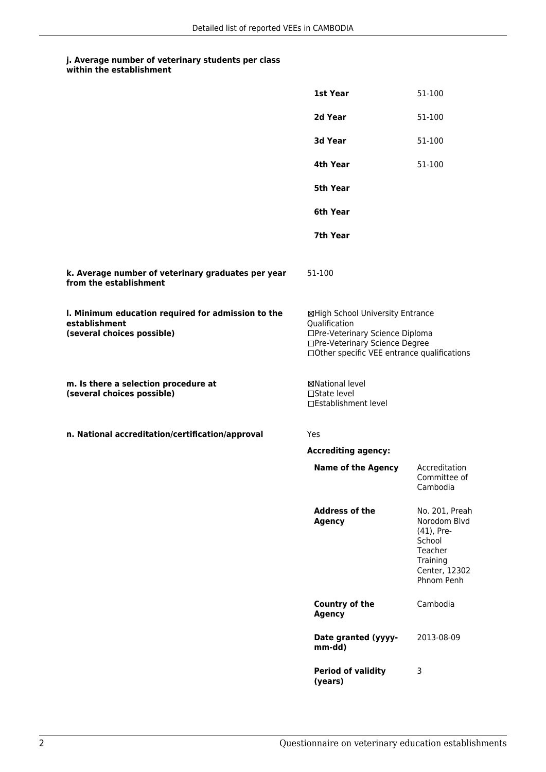## **j. Average number of veterinary students per class within the establishment**

|                                                                                                   | 1st Year                                                                                                                                                              | 51-100                                                                                                       |
|---------------------------------------------------------------------------------------------------|-----------------------------------------------------------------------------------------------------------------------------------------------------------------------|--------------------------------------------------------------------------------------------------------------|
|                                                                                                   | 2d Year                                                                                                                                                               | 51-100                                                                                                       |
|                                                                                                   | <b>3d Year</b>                                                                                                                                                        | 51-100                                                                                                       |
|                                                                                                   | 4th Year                                                                                                                                                              | 51-100                                                                                                       |
|                                                                                                   | 5th Year                                                                                                                                                              |                                                                                                              |
|                                                                                                   | 6th Year                                                                                                                                                              |                                                                                                              |
|                                                                                                   | 7th Year                                                                                                                                                              |                                                                                                              |
| k. Average number of veterinary graduates per year<br>from the establishment                      | 51-100                                                                                                                                                                |                                                                                                              |
| I. Minimum education required for admission to the<br>establishment<br>(several choices possible) | ⊠High School University Entrance<br>Qualification<br>□Pre-Veterinary Science Diploma<br>□Pre-Veterinary Science Degree<br>□Other specific VEE entrance qualifications |                                                                                                              |
| m. Is there a selection procedure at<br>(several choices possible)                                | ⊠National level<br>□State level<br>□Establishment level                                                                                                               |                                                                                                              |
| n. National accreditation/certification/approval                                                  | Yes                                                                                                                                                                   |                                                                                                              |
|                                                                                                   | <b>Accrediting agency:</b>                                                                                                                                            |                                                                                                              |
|                                                                                                   | <b>Name of the Agency</b>                                                                                                                                             | Accreditation<br>Committee of<br>Cambodia                                                                    |
|                                                                                                   | <b>Address of the</b><br><b>Agency</b>                                                                                                                                | No. 201, Preah<br>Norodom Blvd<br>(41), Pre-<br>School<br>Teacher<br>Training<br>Center, 12302<br>Phnom Penh |
|                                                                                                   | Country of the<br><b>Agency</b>                                                                                                                                       | Cambodia                                                                                                     |
|                                                                                                   | Date granted (yyyy-<br>mm-dd)                                                                                                                                         | 2013-08-09                                                                                                   |
|                                                                                                   | <b>Period of validity</b><br>(years)                                                                                                                                  | 3                                                                                                            |